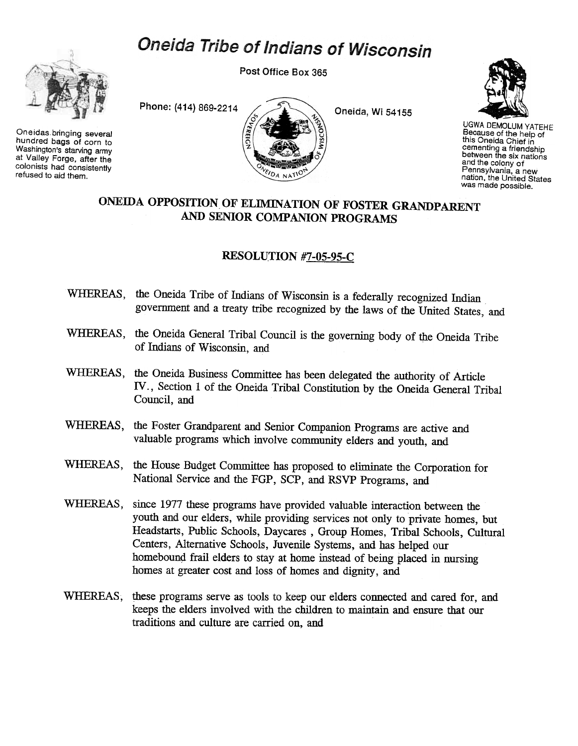## Oneida Tribe of Indians of Wisconsin



Oneidas bringing several hundred bags of corn to Washington's starving army at Valley Forge, after the colonists had consistently refused to aid them.

Post Office Box 365





UGWA DEMOLUM YATEHE Because of the help of this Oneida Chief in cementing a friendship between the six nation<br>and the colony of Pennsylvania, a new nation, the United States was made possible.

## ONEmA OPPOSITION,OF ELIMINATION OF FOSTER GRANDPARENT AND SENIOR COMPANION PROGRAMS

## RESOLUTION #7-05-95-C

- WHEREAS, the Oneida Tribe of Indians of Wisconsin is a federally recognized Indian government and a treaty tribe recognized by the laws of the United States, and
- WHEREAS, the Oneida General Tribal Council is the governing body of the Oneida Tribe of Indians of Wisconsin, and
- WHEREAS, the Oneida Business Committee has been delegated the authority of Article IV., Section 1 of the Oneida Tribal Constitution by the Oneida General Tribal Council, and
- WHEREAS, the Foster Grandparent and Senior Companion Programs are active and valuable programs which involve community elders and youth, and
- WHEREAS, the House Budget Committee has proposed to eliminate the Corporation for National Service and the FGP, SCP, and RSVP Programs, and
- WHEREAS, since 1977 these programs have provided valuable interaction between the youth and our elders, while providing services not only to private homes, but Headstarts, Public Schools, Daycares , Group Homes, Tribal Schools, Cultural Centers, Alternative Schools, Juvenile Systems, and has helped our homebound frail elders to stay at home instead of being placed in nursing homes at greater cost and loss of homes and dignity, and
- WHEREAS, these programs serve as tools to keep our elders connected and cared for, and keeps the elders involved with the children to maintain and ensure that our traditions and culture are carried on, and